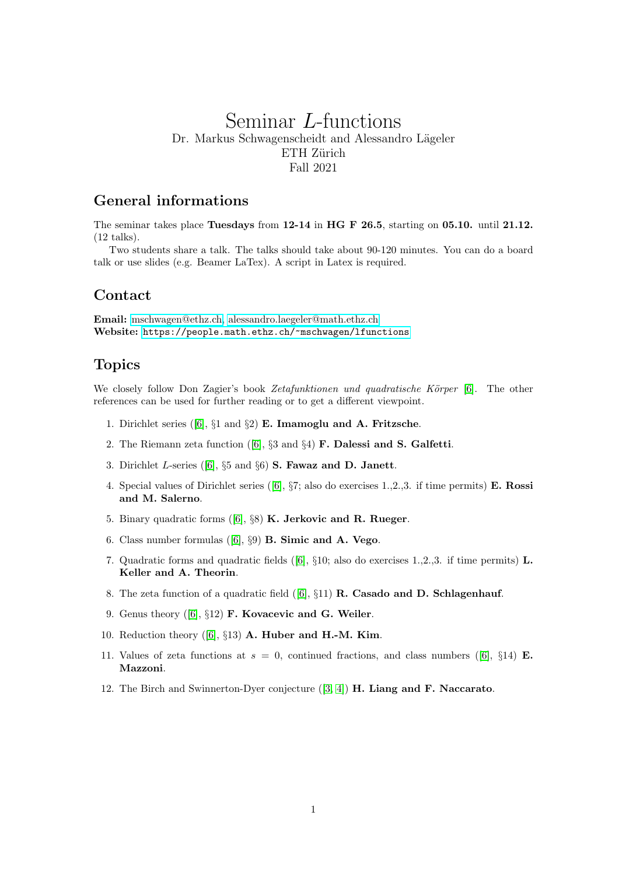# Seminar L-functions Dr. Markus Schwagenscheidt and Alessandro Lägeler ETH Zürich Fall 2021

## General informations

The seminar takes place Tuesdays from 12-14 in HG F 26.5, starting on 05.10. until 21.12. (12 talks).

Two students share a talk. The talks should take about 90-120 minutes. You can do a board talk or use slides (e.g. Beamer LaTex). A script in Latex is required.

#### Contact

Email: [mschwagen@ethz.ch,](mailto:mschwagen@ethz.ch) [alessandro.laegeler@math.ethz.ch](mailto:alessandro.laegeler@math.ethz.ch) Website: <https://people.math.ethz.ch/~mschwagen/lfunctions>

### Topics

We closely follow Don Zagier's book Zetafunktionen und quadratische Körper  $[6]$ . The other references can be used for further reading or to get a different viewpoint.

- 1. Dirichlet series ( $[6]$ ,  $\S1$  and  $\S2$ ) **E. Imamoglu and A. Fritzsche.**
- 2. The Riemann zeta function ([\[6\]](#page-1-0), §3 and §4) F. Dalessi and S. Galfetti.
- 3. Dirichlet L-series ([\[6\]](#page-1-0),  $\S 5$  and  $\S 6$ ) **S. Fawaz and D. Janett.**
- 4. Special values of Dirichlet series ([\[6\]](#page-1-0), §7; also do exercises 1.,2.,3. if time permits) E. Rossi and M. Salerno.
- 5. Binary quadratic forms ([\[6\]](#page-1-0), §8) K. Jerkovic and R. Rueger.
- 6. Class number formulas  $([6], \S 9)$  $([6], \S 9)$  $([6], \S 9)$  **B. Simic and A. Vego.**
- 7. Quadratic forms and quadratic fields ([\[6\]](#page-1-0),  $\S 10$ ; also do exercises 1.,2.,3. if time permits) L. Keller and A. Theorin.
- 8. The zeta function of a quadratic field  $([6], \S11)$  $([6], \S11)$  $([6], \S11)$  **R. Casado and D. Schlagenhauf.**
- 9. Genus theory ([\[6\]](#page-1-0), §12) F. Kovacevic and G. Weiler.
- 10. Reduction theory  $([6], \S 13)$  $([6], \S 13)$  $([6], \S 13)$  **A. Huber and H.-M. Kim.**
- 11. Values of zeta functions at  $s = 0$ , continued fractions, and class numbers ([\[6\]](#page-1-0), §14) E. Mazzoni.
- 12. The Birch and Swinnerton-Dyer conjecture  $([3, 4])$  $([3, 4])$  $([3, 4])$  $([3, 4])$  H. Liang and F. Naccarato.